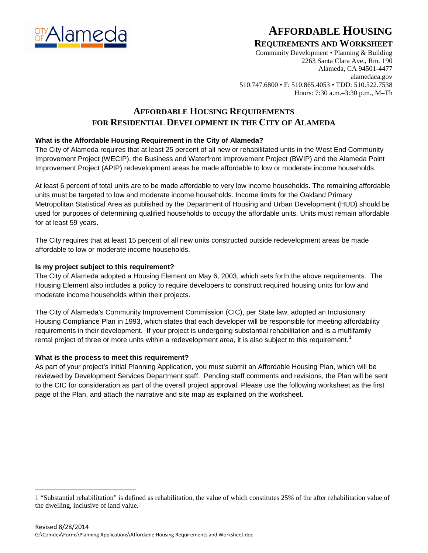

# **AFFORDABLE HOUSING**

### **REQUIREMENTS AND WORKSHEET**

Community Development • Planning & Building 2263 Santa Clara Ave., Rm. 190 Alameda, CA 94501-4477 alamedaca.gov 510.747.6800 • F: 510.865.4053 • TDD: 510.522.7538 Hours: 7:30 a.m.–3:30 p.m., M–Th

### **AFFORDABLE HOUSING REQUIREMENTS FOR RESIDENTIAL DEVELOPMENT IN THE CITY OF ALAMEDA**

### **What is the Affordable Housing Requirement in the City of Alameda?**

The City of Alameda requires that at least 25 percent of all new or rehabilitated units in the West End Community Improvement Project (WECIP), the Business and Waterfront Improvement Project (BWIP) and the Alameda Point Improvement Project (APIP) redevelopment areas be made affordable to low or moderate income households.

At least 6 percent of total units are to be made affordable to very low income households. The remaining affordable units must be targeted to low and moderate income households. Income limits for the Oakland Primary Metropolitan Statistical Area as published by the Department of Housing and Urban Development (HUD) should be used for purposes of determining qualified households to occupy the affordable units. Units must remain affordable for at least 59 years.

The City requires that at least 15 percent of all new units constructed outside redevelopment areas be made affordable to low or moderate income households.

#### **Is my project subject to this requirement?**

The City of Alameda adopted a Housing Element on May 6, 2003, which sets forth the above requirements. The Housing Element also includes a policy to require developers to construct required housing units for low and moderate income households within their projects.

The City of Alameda's Community Improvement Commission (CIC), per State law, adopted an Inclusionary Housing Compliance Plan in 1993, which states that each developer will be responsible for meeting affordability requirements in their development. If your project is undergoing substantial rehabilitation and is a multifamily rental project of three or more units within a redevelopment area, it is also subject to this requirement.<sup>[1](#page-0-0)</sup>

#### **What is the process to meet this requirement?**

 $\overline{a}$ 

As part of your project's initial Planning Application, you must submit an Affordable Housing Plan, which will be reviewed by Development Services Department staff. Pending staff comments and revisions, the Plan will be sent to the CIC for consideration as part of the overall project approval. Please use the following worksheet as the first page of the Plan, and attach the narrative and site map as explained on the worksheet.

<span id="page-0-0"></span><sup>1</sup> "Substantial rehabilitation" is defined as rehabilitation, the value of which constitutes 25% of the after rehabilitation value of the dwelling, inclusive of land value.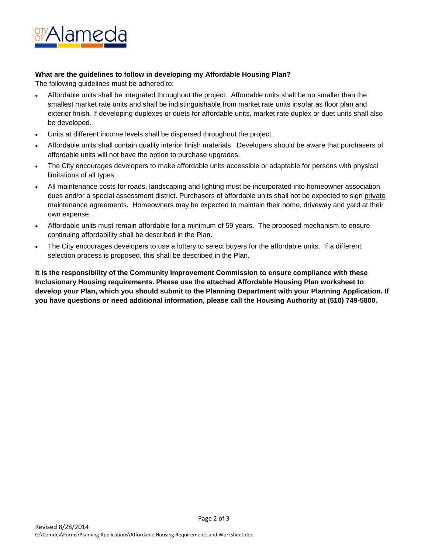

#### **What are the guidelines to follow in developing my Affordable Housing Plan?**

The following guidelines must be adhered to:

- Affordable units shall be integrated throughout the project. Affordable units shall be no smaller than the smallest market rate units and shall be indistinguishable from market rate units insofar as floor plan and exterior finish. If developing duplexes or duets for affordable units, market rate duplex or duet units shall also be developed.
- Units at different income levels shall be dispersed throughout the project.
- Affordable units shall contain quality interior finish materials. Developers should be aware that purchasers of affordable units will not have the option to purchase upgrades.
- The City encourages developers to make affordable units accessible or adaptable for persons with physical limitations of all types.
- All maintenance costs for roads, landscaping and lighting must be incorporated into homeowner association dues and/or a special assessment district. Purchasers of affordable units shall not be expected to sign private maintenance agreements. Homeowners may be expected to maintain their home, driveway and yard at their own expense.
- Affordable units must remain affordable for a minimum of 59 years. The proposed mechanism to ensure continuing affordability shall be described in the Plan.
- The City encourages developers to use a lottery to select buyers for the affordable units. If a different selection process is proposed, this shall be described in the Plan.

**It is the responsibility of the Community Improvement Commission to ensure compliance with these Inclusionary Housing requirements. Please use the attached Affordable Housing Plan worksheet to develop your Plan, which you should submit to the Planning Department with your Planning Application. If you have questions or need additional information, please call the Housing Authority at (510) 749-5800.**

Page 2 of 3